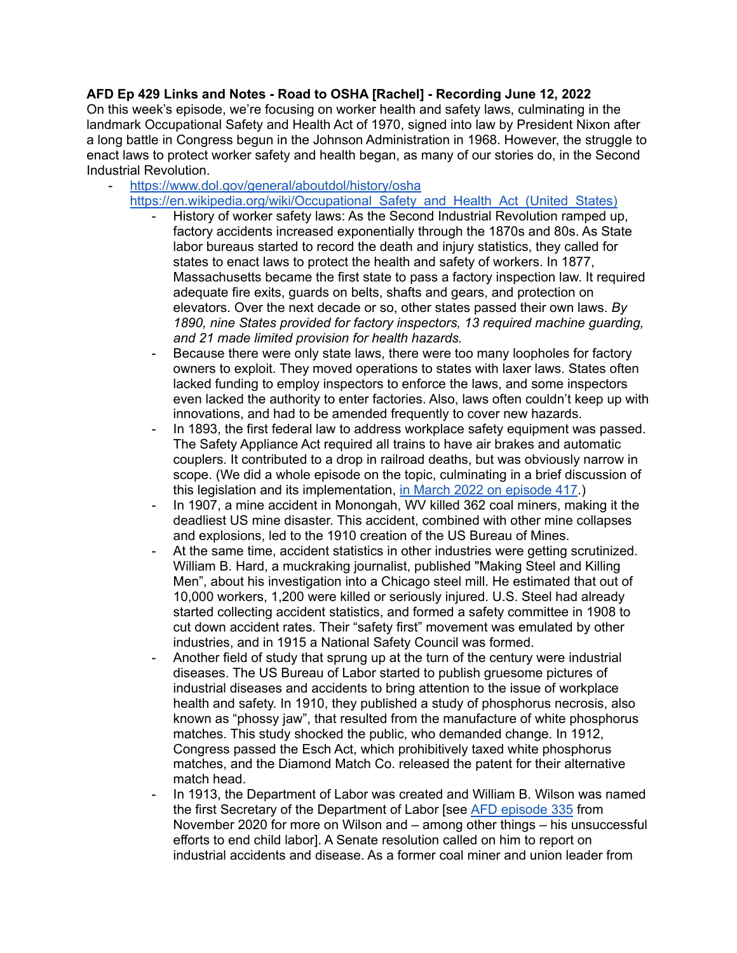## **AFD Ep 429 Links and Notes - Road to OSHA [Rachel] - Recording June 12, 2022**

On this week's episode, we're focusing on worker health and safety laws, culminating in the landmark Occupational Safety and Health Act of 1970, signed into law by President Nixon after a long battle in Congress begun in the Johnson Administration in 1968. However, the struggle to enact laws to protect worker safety and health began, as many of our stories do, in the Second Industrial Revolution.

- <https://www.dol.gov/general/aboutdol/history/osha>
	- [https://en.wikipedia.org/wiki/Occupational\\_Safety\\_and\\_Health\\_Act\\_\(United\\_States\)](https://en.wikipedia.org/wiki/Occupational_Safety_and_Health_Act_(United_States))
		- History of worker safety laws: As the Second Industrial Revolution ramped up, factory accidents increased exponentially through the 1870s and 80s. As State labor bureaus started to record the death and injury statistics, they called for states to enact laws to protect the health and safety of workers. In 1877, Massachusetts became the first state to pass a factory inspection law. It required adequate fire exits, guards on belts, shafts and gears, and protection on elevators. Over the next decade or so, other states passed their own laws. *By 1890, nine States provided for factory inspectors, 13 required machine guarding, and 21 made limited provision for health hazards.*
		- Because there were only state laws, there were too many loopholes for factory owners to exploit. They moved operations to states with laxer laws. States often lacked funding to employ inspectors to enforce the laws, and some inspectors even lacked the authority to enter factories. Also, laws often couldn't keep up with innovations, and had to be amended frequently to cover new hazards.
		- In 1893, the first federal law to address workplace safety equipment was passed. The Safety Appliance Act required all trains to have air brakes and automatic couplers. It contributed to a drop in railroad deaths, but was obviously narrow in scope. (We did a whole episode on the topic, culminating in a brief discussion of this legislation and its implementation, in March 2022 on [episode](http://arsenalfordemocracy.com/2022/03/15/mar-15-2022-westinghouse-air-brakes-arsenal-for-democracy-ep-417/) 417.)
		- In 1907, a mine accident in Monongah, WV killed 362 coal miners, making it the deadliest US mine disaster. This accident, combined with other mine collapses and explosions, led to the 1910 creation of the US Bureau of Mines.
		- At the same time, accident statistics in other industries were getting scrutinized. William B. Hard, a muckraking journalist, published "Making Steel and Killing Men", about his investigation into a Chicago steel mill. He estimated that out of 10,000 workers, 1,200 were killed or seriously injured. U.S. Steel had already started collecting accident statistics, and formed a safety committee in 1908 to cut down accident rates. Their "safety first" movement was emulated by other industries, and in 1915 a National Safety Council was formed.
		- Another field of study that sprung up at the turn of the century were industrial diseases. The US Bureau of Labor started to publish gruesome pictures of industrial diseases and accidents to bring attention to the issue of workplace health and safety. In 1910, they published a study of phosphorus necrosis, also known as "phossy jaw", that resulted from the manufacture of white phosphorus matches. This study shocked the public, who demanded change. In 1912, Congress passed the Esch Act, which prohibitively taxed white phosphorus matches, and the Diamond Match Co. released the patent for their alternative match head.
		- In 1913, the Department of Labor was created and William B. Wilson was named the first Secretary of the Department of Labor [see AFD [episode](http://arsenalfordemocracy.com/2020/12/01/nov-29-2020-william-b-wilson-first-labor-secretary-arsenal-for-democracy-ep-335/) 335 from November 2020 for more on Wilson and – among other things – his unsuccessful efforts to end child labor]. A Senate resolution called on him to report on industrial accidents and disease. As a former coal miner and union leader from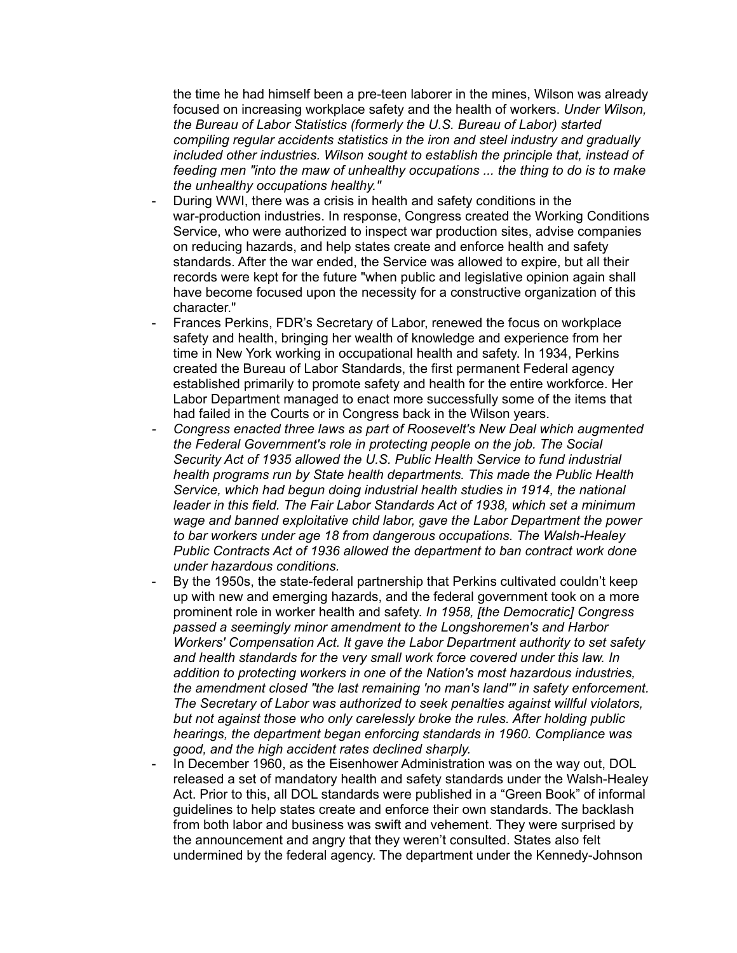the time he had himself been a pre-teen laborer in the mines, Wilson was already focused on increasing workplace safety and the health of workers. *Under Wilson, the Bureau of Labor Statistics (formerly the U.S. Bureau of Labor) started compiling regular accidents statistics in the iron and steel industry and gradually included other industries. Wilson sought to establish the principle that, instead of feeding men "into the maw of unhealthy occupations ... the thing to do is to make the unhealthy occupations healthy."*

- During WWI, there was a crisis in health and safety conditions in the war-production industries. In response, Congress created the Working Conditions Service, who were authorized to inspect war production sites, advise companies on reducing hazards, and help states create and enforce health and safety standards. After the war ended, the Service was allowed to expire, but all their records were kept for the future "when public and legislative opinion again shall have become focused upon the necessity for a constructive organization of this character."
- Frances Perkins, FDR's Secretary of Labor, renewed the focus on workplace safety and health, bringing her wealth of knowledge and experience from her time in New York working in occupational health and safety. In 1934, Perkins created the Bureau of Labor Standards, the first permanent Federal agency established primarily to promote safety and health for the entire workforce. Her Labor Department managed to enact more successfully some of the items that had failed in the Courts or in Congress back in the Wilson years.
- *- Congress enacted three laws as part of Roosevelt's New Deal which augmented the Federal Government's role in protecting people on the job. The Social Security Act of 1935 allowed the U.S. Public Health Service to fund industrial health programs run by State health departments. This made the Public Health Service, which had begun doing industrial health studies in 1914, the national leader in this field. The Fair Labor Standards Act of 1938, which set a minimum wage and banned exploitative child labor, gave the Labor Department the power to bar workers under age 18 from dangerous occupations. The Walsh-Healey Public Contracts Act of 1936 allowed the department to ban contract work done under hazardous conditions.*
- By the 1950s, the state-federal partnership that Perkins cultivated couldn't keep up with new and emerging hazards, and the federal government took on a more prominent role in worker health and safety. *In 1958, [the Democratic] Congress passed a seemingly minor amendment to the Longshoremen's and Harbor Workers' Compensation Act. It gave the Labor Department authority to set safety and health standards for the very small work force covered under this law. In addition to protecting workers in one of the Nation's most hazardous industries, the amendment closed "the last remaining 'no man's land'" in safety enforcement. The Secretary of Labor was authorized to seek penalties against willful violators, but not against those who only carelessly broke the rules. After holding public hearings, the department began enforcing standards in 1960. Compliance was good, and the high accident rates declined sharply.*
- In December 1960, as the Eisenhower Administration was on the way out, DOL released a set of mandatory health and safety standards under the Walsh-Healey Act. Prior to this, all DOL standards were published in a "Green Book" of informal guidelines to help states create and enforce their own standards. The backlash from both labor and business was swift and vehement. They were surprised by the announcement and angry that they weren't consulted. States also felt undermined by the federal agency. The department under the Kennedy-Johnson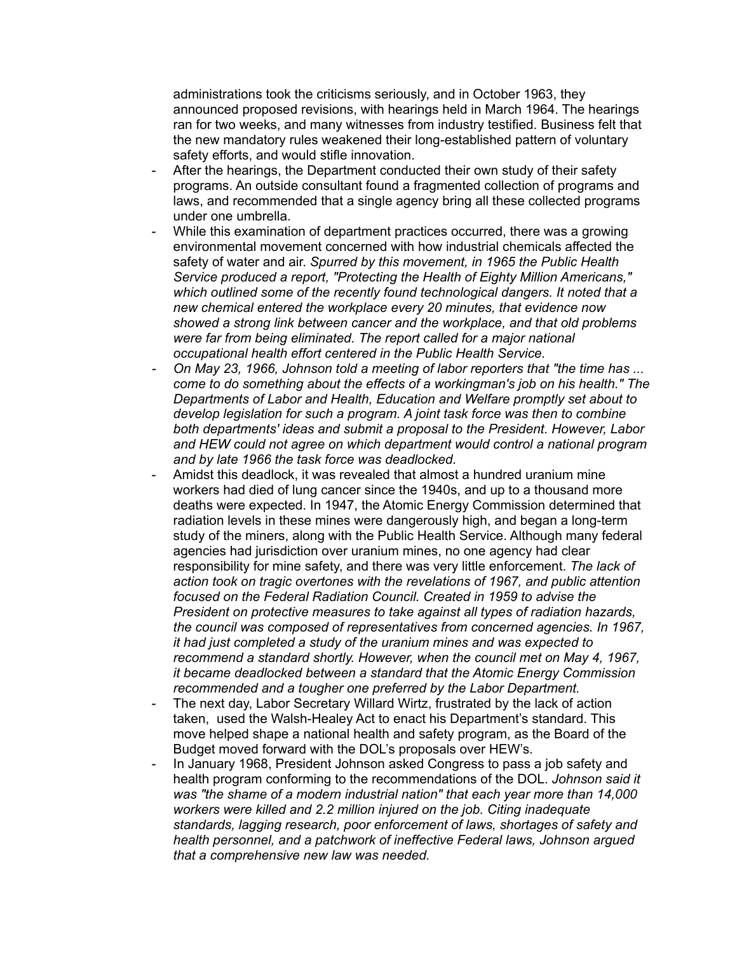administrations took the criticisms seriously, and in October 1963, they announced proposed revisions, with hearings held in March 1964. The hearings ran for two weeks, and many witnesses from industry testified. Business felt that the new mandatory rules weakened their long-established pattern of voluntary safety efforts, and would stifle innovation.

- After the hearings, the Department conducted their own study of their safety programs. An outside consultant found a fragmented collection of programs and laws, and recommended that a single agency bring all these collected programs under one umbrella.
- While this examination of department practices occurred, there was a growing environmental movement concerned with how industrial chemicals affected the safety of water and air. *Spurred by this movement, in 1965 the Public Health Service produced a report, "Protecting the Health of Eighty Million Americans," which outlined some of the recently found technological dangers. It noted that a new chemical entered the workplace every 20 minutes, that evidence now showed a strong link between cancer and the workplace, and that old problems were far from being eliminated. The report called for a major national occupational health effort centered in the Public Health Service.*
- *- On May 23, 1966, Johnson told a meeting of labor reporters that "the time has ... come to do something about the effects of a workingman's job on his health." The Departments of Labor and Health, Education and Welfare promptly set about to develop legislation for such a program. A joint task force was then to combine both departments' ideas and submit a proposal to the President. However, Labor and HEW could not agree on which department would control a national program and by late 1966 the task force was deadlocked.*
- Amidst this deadlock, it was revealed that almost a hundred uranium mine workers had died of lung cancer since the 1940s, and up to a thousand more deaths were expected. In 1947, the Atomic Energy Commission determined that radiation levels in these mines were dangerously high, and began a long-term study of the miners, along with the Public Health Service. Although many federal agencies had jurisdiction over uranium mines, no one agency had clear responsibility for mine safety, and there was very little enforcement. *The lack of action took on tragic overtones with the revelations of 1967, and public attention focused on the Federal Radiation Council. Created in 1959 to advise the President on protective measures to take against all types of radiation hazards, the council was composed of representatives from concerned agencies. In 1967, it had just completed a study of the uranium mines and was expected to recommend a standard shortly. However, when the council met on May 4, 1967, it became deadlocked between a standard that the Atomic Energy Commission recommended and a tougher one preferred by the Labor Department.*
- The next day, Labor Secretary Willard Wirtz, frustrated by the lack of action taken, used the Walsh-Healey Act to enact his Department's standard. This move helped shape a national health and safety program, as the Board of the Budget moved forward with the DOL's proposals over HEW's.
- In January 1968, President Johnson asked Congress to pass a job safety and health program conforming to the recommendations of the DOL. *Johnson said it was "the shame of a modern industrial nation" that each year more than 14,000 workers were killed and 2.2 million injured on the job. Citing inadequate standards, lagging research, poor enforcement of laws, shortages of safety and health personnel, and a patchwork of ineffective Federal laws, Johnson argued that a comprehensive new law was needed.*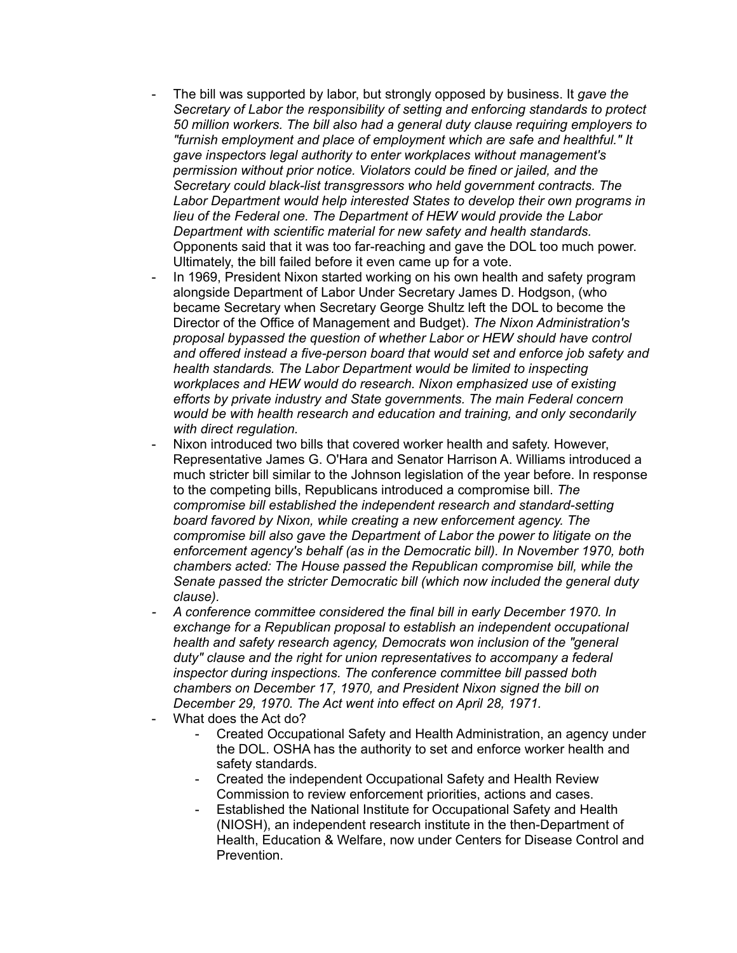- The bill was supported by labor, but strongly opposed by business. It *gave the Secretary of Labor the responsibility of setting and enforcing standards to protect 50 million workers. The bill also had a general duty clause requiring employers to "furnish employment and place of employment which are safe and healthful." It gave inspectors legal authority to enter workplaces without management's permission without prior notice. Violators could be fined or jailed, and the Secretary could black-list transgressors who held government contracts. The Labor Department would help interested States to develop their own programs in lieu of the Federal one. The Department of HEW would provide the Labor Department with scientific material for new safety and health standards.* Opponents said that it was too far-reaching and gave the DOL too much power. Ultimately, the bill failed before it even came up for a vote.
- In 1969, President Nixon started working on his own health and safety program alongside Department of Labor Under Secretary James D. Hodgson, (who became Secretary when Secretary George Shultz left the DOL to become the Director of the Office of Management and Budget). *The Nixon Administration's proposal bypassed the question of whether Labor or HEW should have control and offered instead a five-person board that would set and enforce job safety and health standards. The Labor Department would be limited to inspecting workplaces and HEW would do research. Nixon emphasized use of existing efforts by private industry and State governments. The main Federal concern would be with health research and education and training, and only secondarily with direct regulation.*
- Nixon introduced two bills that covered worker health and safety. However, Representative James G. O'Hara and Senator Harrison A. Williams introduced a much stricter bill similar to the Johnson legislation of the year before. In response to the competing bills, Republicans introduced a compromise bill. *The compromise bill established the independent research and standard-setting board favored by Nixon, while creating a new enforcement agency. The compromise bill also gave the Department of Labor the power to litigate on the enforcement agency's behalf (as in the Democratic bill). In November 1970, both chambers acted: The House passed the Republican compromise bill, while the Senate passed the stricter Democratic bill (which now included the general duty clause).*
- *- A conference committee considered the final bill in early December 1970. In exchange for a Republican proposal to establish an independent occupational health and safety research agency, Democrats won inclusion of the "general duty" clause and the right for union representatives to accompany a federal inspector during inspections. The conference committee bill passed both chambers on December 17, 1970, and President Nixon signed the bill on December 29, 1970. The Act went into effect on April 28, 1971.*
- What does the Act do?
	- Created Occupational Safety and Health Administration, an agency under the DOL. OSHA has the authority to set and enforce worker health and safety standards.
	- Created the independent Occupational Safety and Health Review Commission to review enforcement priorities, actions and cases.
	- Established the National Institute for Occupational Safety and Health (NIOSH), an independent research institute in the then-Department of Health, Education & Welfare, now under Centers for Disease Control and Prevention.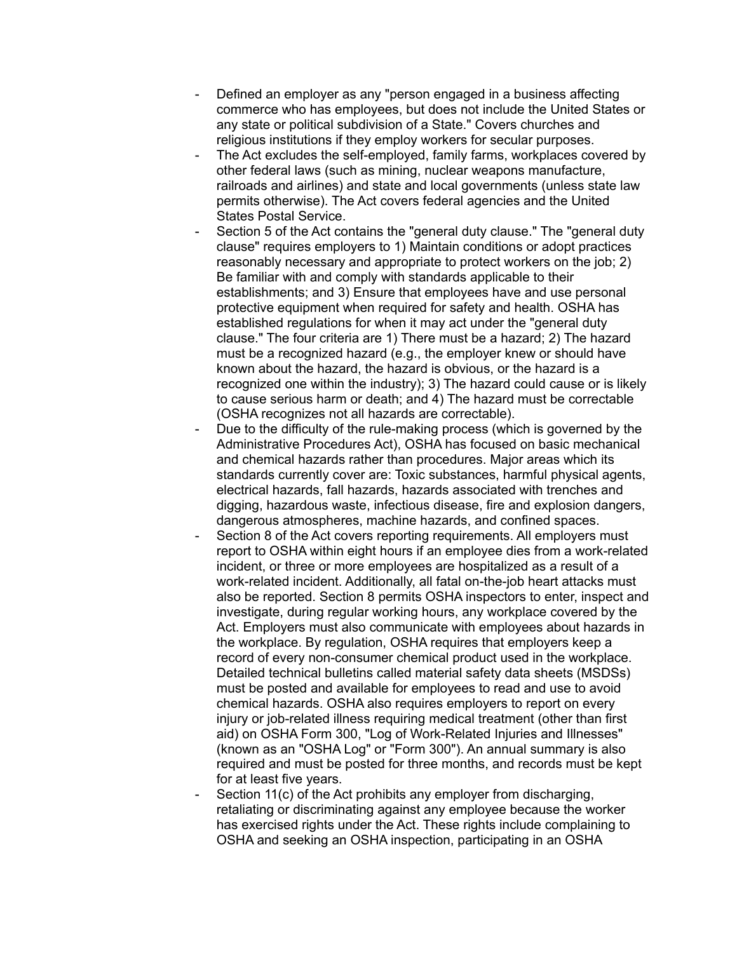- Defined an employer as any "person engaged in a business affecting commerce who has employees, but does not include the United States or any state or political subdivision of a State." Covers churches and religious institutions if they employ workers for secular purposes.
- The Act excludes the self-employed, family farms, workplaces covered by other federal laws (such as mining, nuclear weapons manufacture, railroads and airlines) and state and local governments (unless state law permits otherwise). The Act covers federal agencies and the United States Postal Service.
- Section 5 of the Act contains the "general duty clause." The "general duty clause" requires employers to 1) Maintain conditions or adopt practices reasonably necessary and appropriate to protect workers on the job; 2) Be familiar with and comply with standards applicable to their establishments; and 3) Ensure that employees have and use personal protective equipment when required for safety and health. OSHA has established regulations for when it may act under the "general duty clause." The four criteria are 1) There must be a hazard; 2) The hazard must be a recognized hazard (e.g., the employer knew or should have known about the hazard, the hazard is obvious, or the hazard is a recognized one within the industry); 3) The hazard could cause or is likely to cause serious harm or death; and 4) The hazard must be correctable (OSHA recognizes not all hazards are correctable).
- Due to the difficulty of the rule-making process (which is governed by the Administrative Procedures Act), OSHA has focused on basic mechanical and chemical hazards rather than procedures. Major areas which its standards currently cover are: Toxic substances, harmful physical agents, electrical hazards, fall hazards, hazards associated with trenches and digging, hazardous waste, infectious disease, fire and explosion dangers, dangerous atmospheres, machine hazards, and confined spaces.
- Section 8 of the Act covers reporting requirements. All employers must report to OSHA within eight hours if an employee dies from a work-related incident, or three or more employees are hospitalized as a result of a work-related incident. Additionally, all fatal on-the-job heart attacks must also be reported. Section 8 permits OSHA inspectors to enter, inspect and investigate, during regular working hours, any workplace covered by the Act. Employers must also communicate with employees about hazards in the workplace. By regulation, OSHA requires that employers keep a record of every non-consumer chemical product used in the workplace. Detailed technical bulletins called material safety data sheets (MSDSs) must be posted and available for employees to read and use to avoid chemical hazards. OSHA also requires employers to report on every injury or job-related illness requiring medical treatment (other than first aid) on OSHA Form 300, "Log of Work-Related Injuries and Illnesses" (known as an "OSHA Log" or "Form 300"). An annual summary is also required and must be posted for three months, and records must be kept for at least five years.
- Section 11(c) of the Act prohibits any employer from discharging, retaliating or discriminating against any employee because the worker has exercised rights under the Act. These rights include complaining to OSHA and seeking an OSHA inspection, participating in an OSHA